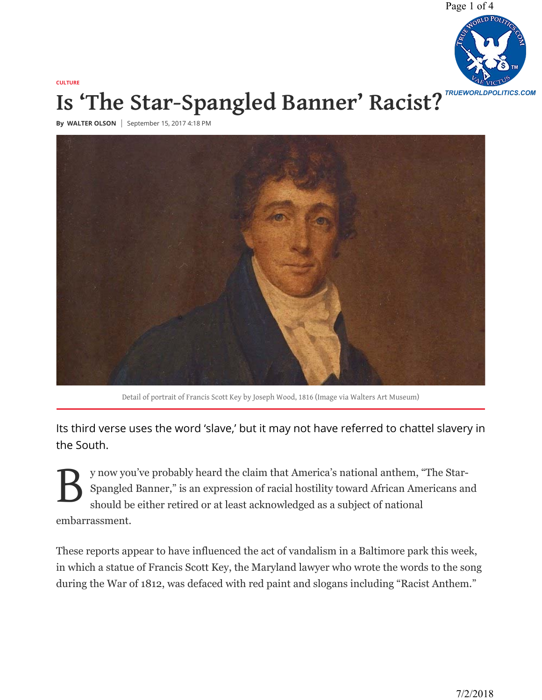[Page 1 of 4](http://www.trueworldpolitics.com/)



## **CULTURE [Is 'The Star-Spangled Banner' Racist?](https://www.nationalreview.com/2017/09/star-spangled-banner-racist-anthem/)**

**By** WALTER OLSON | September 15, 2017 4:18 PM



Detail of portrait of Francis Scott Key by Joseph Wood, 1816 (Image via Walters Art Museum)

Its third verse uses the word 'slave,' but it may not have referred to chattel slavery in the South.

B y now you've probably heard the claim that America's national anthem, "The Star-Spangled Banner," is an expression of racial hostility toward African Americans and should be either retired or at least acknowledged as a subject of national embarrassment.

These reports appear to have influenced the act of vandalism in a Baltimore park this week, in which a statue of Francis Scott Key, the Maryland lawyer who wrote the words to the song during the War of 1812, was defaced with red paint and slogans including "Racist Anthem."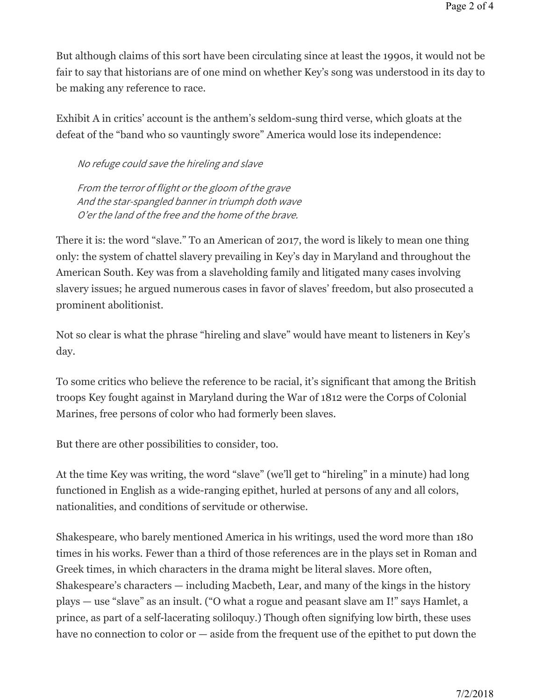But although claims of this sort have been circulating since at least the 1990s, it would not be fair to say that historians are of one mind on whether Key's song was understood in its day to be making any reference to race.

Exhibit A in critics' account is the anthem's seldom-sung third verse, which gloats at the defeat of the "band who so vauntingly swore" America would lose its independence:

No refuge could save the hireling and slave

From the terror of flight or the gloom of the grave And the star-spangled banner in triumph doth wave O'er the land of the free and the home of the brave.

There it is: the word "slave." To an American of 2017, the word is likely to mean one thing only: the system of chattel slavery prevailing in Key's day in Maryland and throughout the American South. Key was from a slaveholding family and litigated many cases involving slavery issues; he argued numerous cases in favor of slaves' freedom, but also prosecuted a prominent abolitionist.

Not so clear is what the phrase "hireling and slave" would have meant to listeners in Key's day.

To some critics who believe the reference to be racial, it's significant that among the British troops Key fought against in Maryland during the War of 1812 were the Corps of Colonial Marines, free persons of color who had formerly been slaves.

But there are other possibilities to consider, too.

At the time Key was writing, the word "slave" (we'll get to "hireling" in a minute) had long functioned in English as a wide-ranging epithet, hurled at persons of any and all colors, nationalities, and conditions of servitude or otherwise.

Shakespeare, who barely mentioned America in his writings, used the word more than 180 times in his works. Fewer than a third of those references are in the plays set in Roman and Greek times, in which characters in the drama might be literal slaves. More often, Shakespeare's characters — including Macbeth, Lear, and many of the kings in the history plays — use "slave" as an insult. ("O what a rogue and peasant slave am I!" says Hamlet, a prince, as part of a self-lacerating soliloquy.) Though often signifying low birth, these uses have no connection to color or — aside from the frequent use of the epithet to put down the